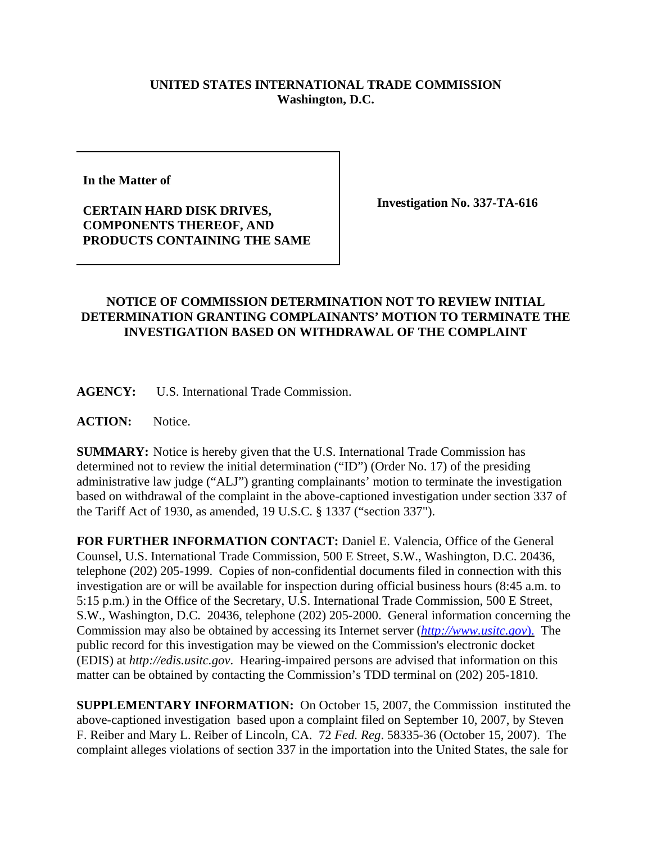## **UNITED STATES INTERNATIONAL TRADE COMMISSION Washington, D.C.**

**In the Matter of**

## **CERTAIN HARD DISK DRIVES, COMPONENTS THEREOF, AND PRODUCTS CONTAINING THE SAME**

**Investigation No. 337-TA-616**

## **NOTICE OF COMMISSION DETERMINATION NOT TO REVIEW INITIAL DETERMINATION GRANTING COMPLAINANTS' MOTION TO TERMINATE THE INVESTIGATION BASED ON WITHDRAWAL OF THE COMPLAINT**

**AGENCY:** U.S. International Trade Commission.

ACTION: Notice.

**SUMMARY:** Notice is hereby given that the U.S. International Trade Commission has determined not to review the initial determination ("ID") (Order No. 17) of the presiding administrative law judge ("ALJ") granting complainants' motion to terminate the investigation based on withdrawal of the complaint in the above-captioned investigation under section 337 of the Tariff Act of 1930, as amended, 19 U.S.C. § 1337 ("section 337").

**FOR FURTHER INFORMATION CONTACT:** Daniel E. Valencia, Office of the General Counsel, U.S. International Trade Commission, 500 E Street, S.W., Washington, D.C. 20436, telephone (202) 205-1999. Copies of non-confidential documents filed in connection with this investigation are or will be available for inspection during official business hours (8:45 a.m. to 5:15 p.m.) in the Office of the Secretary, U.S. International Trade Commission, 500 E Street, S.W., Washington, D.C. 20436, telephone (202) 205-2000. General information concerning the Commission may also be obtained by accessing its Internet server (*http://www.usitc.gov*). The public record for this investigation may be viewed on the Commission's electronic docket (EDIS) at *http://edis.usitc.gov*. Hearing-impaired persons are advised that information on this matter can be obtained by contacting the Commission's TDD terminal on (202) 205-1810.

**SUPPLEMENTARY INFORMATION:** On October 15, 2007, the Commission instituted the above-captioned investigation based upon a complaint filed on September 10, 2007, by Steven F. Reiber and Mary L. Reiber of Lincoln, CA. 72 *Fed. Reg*. 58335-36 (October 15, 2007). The complaint alleges violations of section 337 in the importation into the United States, the sale for